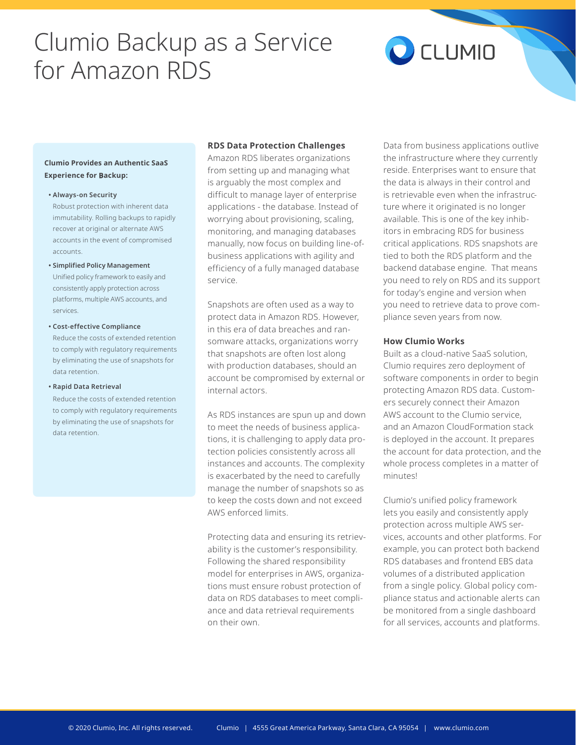# Clumio Backup as a Service for Amazon RDS

# CCLUMIO

# **Clumio Provides an Authentic SaaS Experience for Backup:**

#### **• Always-on Security**

Robust protection with inherent data immutability. Rolling backups to rapidly recover at original or alternate AWS accounts in the event of compromised accounts.

**• Simplified Policy Management**

Unified policy framework to easily and consistently apply protection across platforms, multiple AWS accounts, and services.

#### **• Cost-effective Compliance**

Reduce the costs of extended retention to comply with regulatory requirements by eliminating the use of snapshots for data retention.

#### **• Rapid Data Retrieval**

Reduce the costs of extended retention to comply with regulatory requirements by eliminating the use of snapshots for data retention.

# **RDS Data Protection Challenges**

Amazon RDS liberates organizations from setting up and managing what is arguably the most complex and difficult to manage layer of enterprise applications - the database. Instead of worrying about provisioning, scaling, monitoring, and managing databases manually, now focus on building line-ofbusiness applications with agility and efficiency of a fully managed database service.

Snapshots are often used as a way to protect data in Amazon RDS. However, in this era of data breaches and ransomware attacks, organizations worry that snapshots are often lost along with production databases, should an account be compromised by external or internal actors.

As RDS instances are spun up and down to meet the needs of business applications, it is challenging to apply data protection policies consistently across all instances and accounts. The complexity is exacerbated by the need to carefully manage the number of snapshots so as to keep the costs down and not exceed AWS enforced limits.

Protecting data and ensuring its retrievability is the customer's responsibility. Following the shared responsibility model for enterprises in AWS, organizations must ensure robust protection of data on RDS databases to meet compliance and data retrieval requirements on their own.

Data from business applications outlive the infrastructure where they currently reside. Enterprises want to ensure that the data is always in their control and is retrievable even when the infrastructure where it originated is no longer available. This is one of the key inhibitors in embracing RDS for business critical applications. RDS snapshots are tied to both the RDS platform and the backend database engine. That means you need to rely on RDS and its support for today's engine and version when you need to retrieve data to prove compliance seven years from now.

# **How Clumio Works**

Built as a cloud-native SaaS solution, Clumio requires zero deployment of software components in order to begin protecting Amazon RDS data. Customers securely connect their Amazon AWS account to the Clumio service, and an Amazon CloudFormation stack is deployed in the account. It prepares the account for data protection, and the whole process completes in a matter of minutes!

Clumio's unified policy framework lets you easily and consistently apply protection across multiple AWS services, accounts and other platforms. For example, you can protect both backend RDS databases and frontend EBS data volumes of a distributed application from a single policy. Global policy compliance status and actionable alerts can be monitored from a single dashboard for all services, accounts and platforms.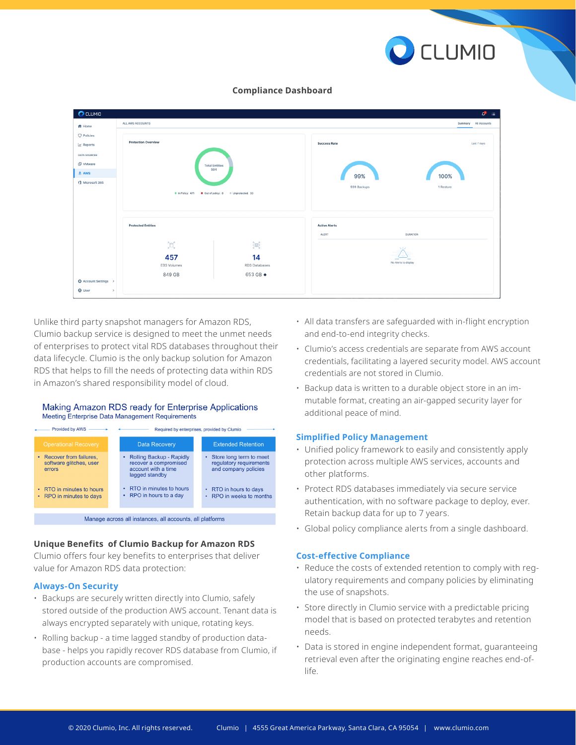

#### **Compliance Dashboard**

| <b>O</b> CLUMIO<br>$\mathbb{C}^2$ = |                                                                  |                                                    |                      |                      |  |
|-------------------------------------|------------------------------------------------------------------|----------------------------------------------------|----------------------|----------------------|--|
| ff Home                             | ALL AWS ACCOUNTS                                                 |                                                    |                      | Summary All Accounts |  |
| <b>Q</b> Policies                   |                                                                  |                                                    |                      |                      |  |
| Reports                             | <b>Protection Overview</b>                                       |                                                    | <b>Success Rate</b>  | Last 7 days          |  |
| <b>DATA SOURCES</b>                 |                                                                  |                                                    |                      |                      |  |
| <b>ID</b> VMware                    |                                                                  | <b>Total Entities</b>                              |                      |                      |  |
| $a$ AWS                             |                                                                  | 504                                                | 99%                  | 100%                 |  |
| Microsoft 365                       |                                                                  |                                                    |                      | 1 Restore            |  |
|                                     | <b>O</b> In Policy: 471                                          |                                                    | 939 Backups          |                      |  |
|                                     |                                                                  |                                                    |                      |                      |  |
|                                     |                                                                  |                                                    |                      |                      |  |
|                                     | <b>Protected Entities</b>                                        |                                                    | <b>Active Alerts</b> |                      |  |
|                                     |                                                                  |                                                    | ALERT                | <b>DURATION</b>      |  |
|                                     | $\bigcap_{\mathbf{y}}^{\kappa}\bigcap_{\mathbf{y}}^{\mathbf{y}}$ | $\widetilde{\mathbb{G}}_{\mathbb{R}}^{\mathbb{R}}$ |                      |                      |  |
|                                     |                                                                  |                                                    | 8.12                 |                      |  |
|                                     | 457                                                              | 14                                                 |                      | No Alerts to display |  |
|                                     | <b>EBS</b> Volumes                                               | RDS Databases                                      |                      |                      |  |
| ♦ Account Settings                  | 849 GB                                                           | 653 GB $\bullet$                                   |                      |                      |  |
| <b>O</b> User<br>$\rightarrow$      |                                                                  |                                                    |                      |                      |  |
|                                     |                                                                  |                                                    |                      |                      |  |

Unlike third party snapshot managers for Amazon RDS, Clumio backup service is designed to meet the unmet needs of enterprises to protect vital RDS databases throughout their data lifecycle. Clumio is the only backup solution for Amazon RDS that helps to fill the needs of protecting data within RDS in Amazon's shared responsibility model of cloud.

#### Making Amazon RDS ready for Enterprise Applications **Meeting Enterprise Data Management Requirements**



Manage across all instances, all accounts, all platforms

# **Unique Benefits of Clumio Backup for Amazon RDS**

Clumio offers four key benefits to enterprises that deliver value for Amazon RDS data protection:

#### **Always-On Security**

- Backups are securely written directly into Clumio, safely stored outside of the production AWS account. Tenant data is always encrypted separately with unique, rotating keys.
- Rolling backup a time lagged standby of production database - helps you rapidly recover RDS database from Clumio, if production accounts are compromised.
- All data transfers are safeguarded with in-flight encryption and end-to-end integrity checks.
- Clumio's access credentials are separate from AWS account credentials, facilitating a layered security model. AWS account credentials are not stored in Clumio.
- Backup data is written to a durable object store in an immutable format, creating an air-gapped security layer for additional peace of mind.

#### **Simplified Policy Management**

- Unified policy framework to easily and consistently apply protection across multiple AWS services, accounts and other platforms.
- Protect RDS databases immediately via secure service authentication, with no software package to deploy, ever. Retain backup data for up to 7 years.
- Global policy compliance alerts from a single dashboard.

#### **Cost-effective Compliance**

- Reduce the costs of extended retention to comply with regulatory requirements and company policies by eliminating the use of snapshots.
- Store directly in Clumio service with a predictable pricing model that is based on protected terabytes and retention needs.
- Data is stored in engine independent format, guaranteeing retrieval even after the originating engine reaches end-oflife.